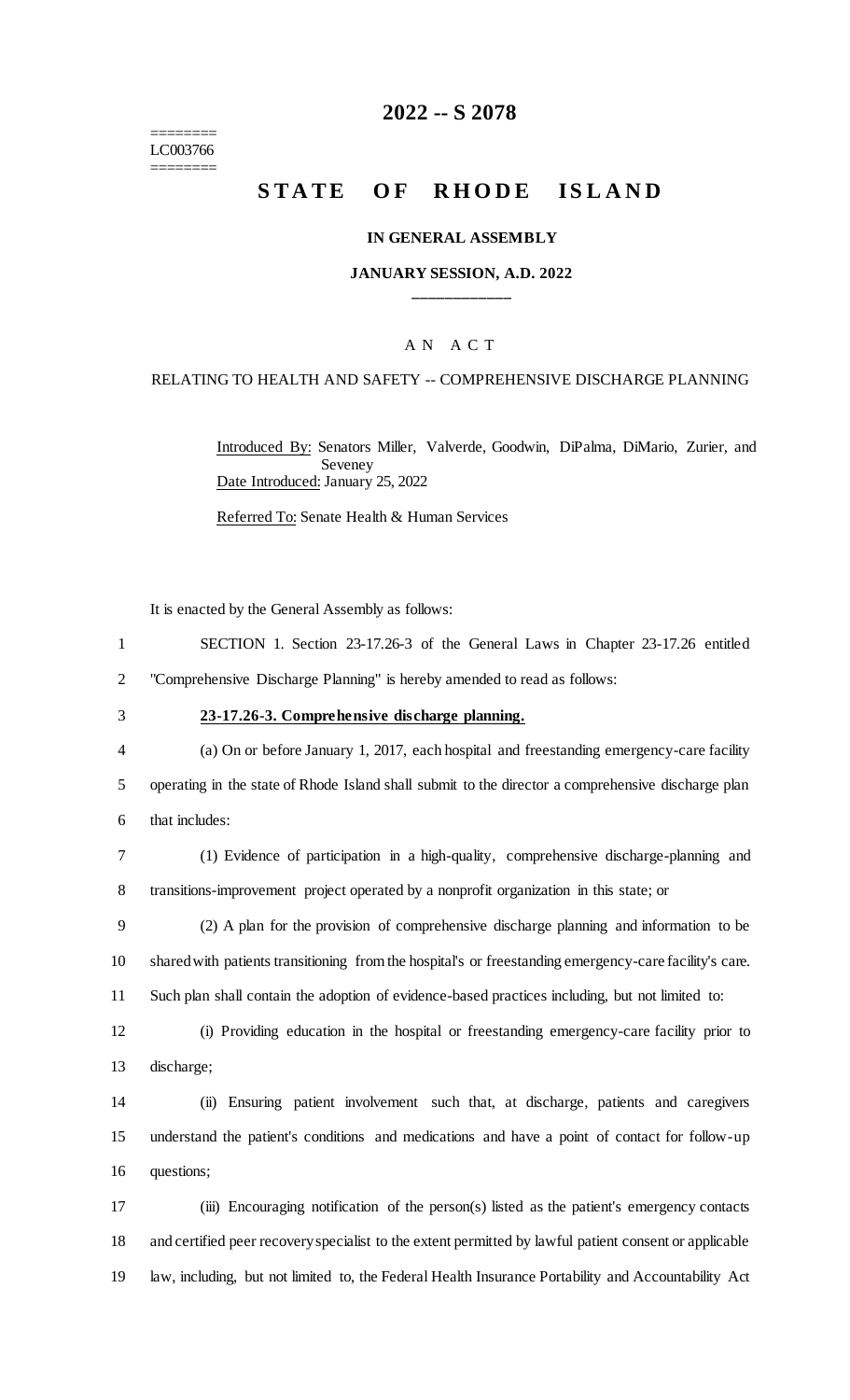======== LC003766 ========

# **2022 -- S 2078**

# **STATE OF RHODE ISLAND**

## **IN GENERAL ASSEMBLY**

## **JANUARY SESSION, A.D. 2022 \_\_\_\_\_\_\_\_\_\_\_\_**

## A N A C T

#### RELATING TO HEALTH AND SAFETY -- COMPREHENSIVE DISCHARGE PLANNING

Introduced By: Senators Miller, Valverde, Goodwin, DiPalma, DiMario, Zurier, and Seveney Date Introduced: January 25, 2022

Referred To: Senate Health & Human Services

It is enacted by the General Assembly as follows:

| SECTION 1. Section 23-17.26-3 of the General Laws in Chapter 23-17.26 entitled |
|--------------------------------------------------------------------------------|
| "Comprehensive Discharge Planning" is hereby amended to read as follows:       |

## 3 **23-17.26-3. Comprehensive discharge planning.**

4 (a) On or before January 1, 2017, each hospital and freestanding emergency-care facility 5 operating in the state of Rhode Island shall submit to the director a comprehensive discharge plan 6 that includes:

7 (1) Evidence of participation in a high-quality, comprehensive discharge-planning and 8 transitions-improvement project operated by a nonprofit organization in this state; or

9 (2) A plan for the provision of comprehensive discharge planning and information to be 10 shared with patients transitioning from the hospital's or freestanding emergency-care facility's care. 11 Such plan shall contain the adoption of evidence-based practices including, but not limited to:

12 (i) Providing education in the hospital or freestanding emergency-care facility prior to 13 discharge;

14 (ii) Ensuring patient involvement such that, at discharge, patients and caregivers 15 understand the patient's conditions and medications and have a point of contact for follow-up 16 questions;

17 (iii) Encouraging notification of the person(s) listed as the patient's emergency contacts 18 and certified peer recovery specialist to the extent permitted by lawful patient consent or applicable 19 law, including, but not limited to, the Federal Health Insurance Portability and Accountability Act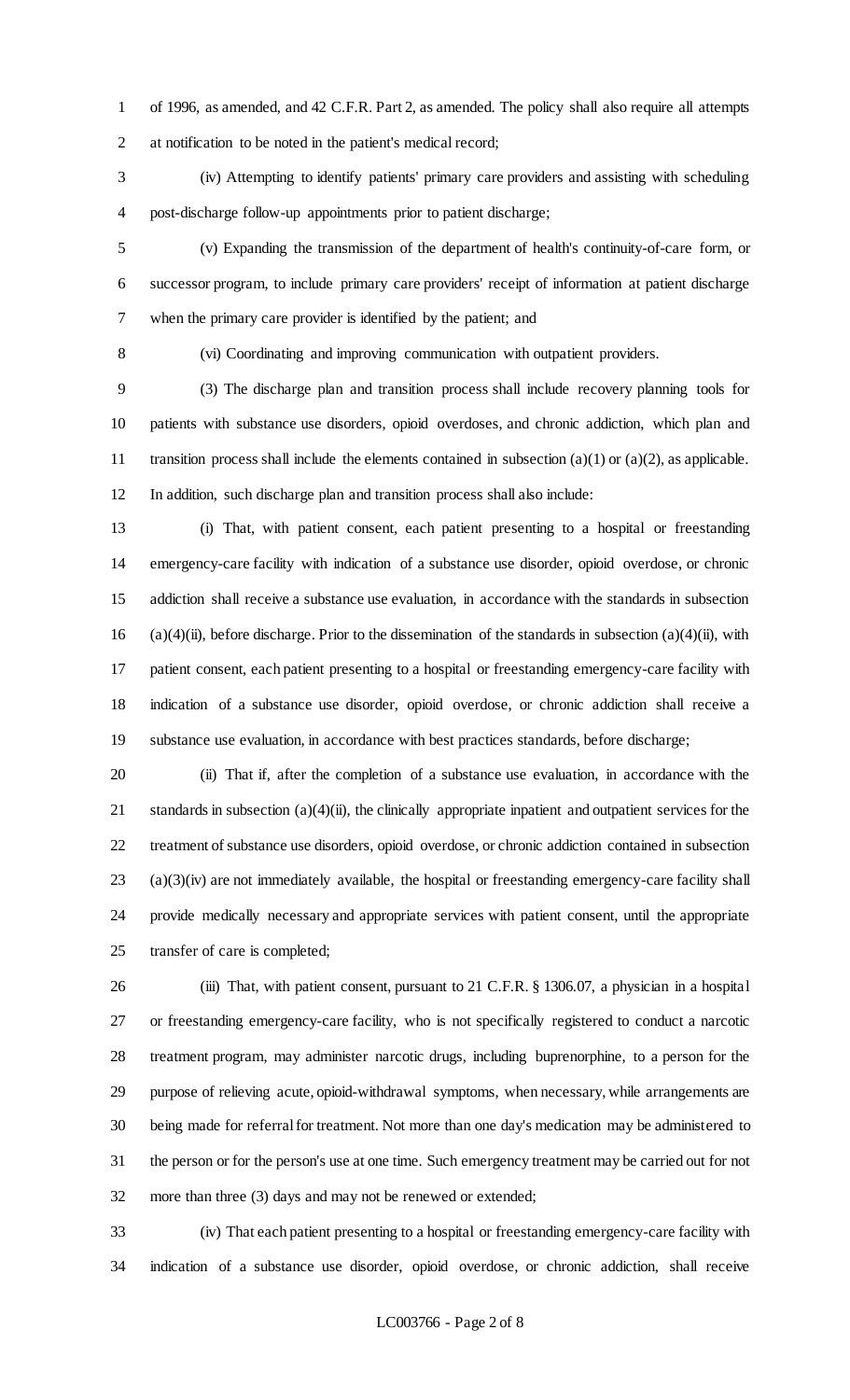of 1996, as amended, and 42 C.F.R. Part 2, as amended. The policy shall also require all attempts at notification to be noted in the patient's medical record;

 (iv) Attempting to identify patients' primary care providers and assisting with scheduling post-discharge follow-up appointments prior to patient discharge;

 (v) Expanding the transmission of the department of health's continuity-of-care form, or successor program, to include primary care providers' receipt of information at patient discharge when the primary care provider is identified by the patient; and

(vi) Coordinating and improving communication with outpatient providers.

 (3) The discharge plan and transition process shall include recovery planning tools for patients with substance use disorders, opioid overdoses, and chronic addiction, which plan and 11 transition process shall include the elements contained in subsection  $(a)(1)$  or  $(a)(2)$ , as applicable. In addition, such discharge plan and transition process shall also include:

 (i) That, with patient consent, each patient presenting to a hospital or freestanding emergency-care facility with indication of a substance use disorder, opioid overdose, or chronic addiction shall receive a substance use evaluation, in accordance with the standards in subsection 16 (a)(4)(ii), before discharge. Prior to the dissemination of the standards in subsection (a)(4)(ii), with patient consent, each patient presenting to a hospital or freestanding emergency-care facility with indication of a substance use disorder, opioid overdose, or chronic addiction shall receive a substance use evaluation, in accordance with best practices standards, before discharge;

 (ii) That if, after the completion of a substance use evaluation, in accordance with the standards in subsection (a)(4)(ii), the clinically appropriate inpatient and outpatient services for the treatment of substance use disorders, opioid overdose, or chronic addiction contained in subsection (a)(3)(iv) are not immediately available, the hospital or freestanding emergency-care facility shall provide medically necessary and appropriate services with patient consent, until the appropriate transfer of care is completed;

 (iii) That, with patient consent, pursuant to 21 C.F.R. § 1306.07, a physician in a hospital or freestanding emergency-care facility, who is not specifically registered to conduct a narcotic treatment program, may administer narcotic drugs, including buprenorphine, to a person for the purpose of relieving acute, opioid-withdrawal symptoms, when necessary, while arrangements are being made for referral for treatment. Not more than one day's medication may be administered to the person or for the person's use at one time. Such emergency treatment may be carried out for not more than three (3) days and may not be renewed or extended;

 (iv) That each patient presenting to a hospital or freestanding emergency-care facility with indication of a substance use disorder, opioid overdose, or chronic addiction, shall receive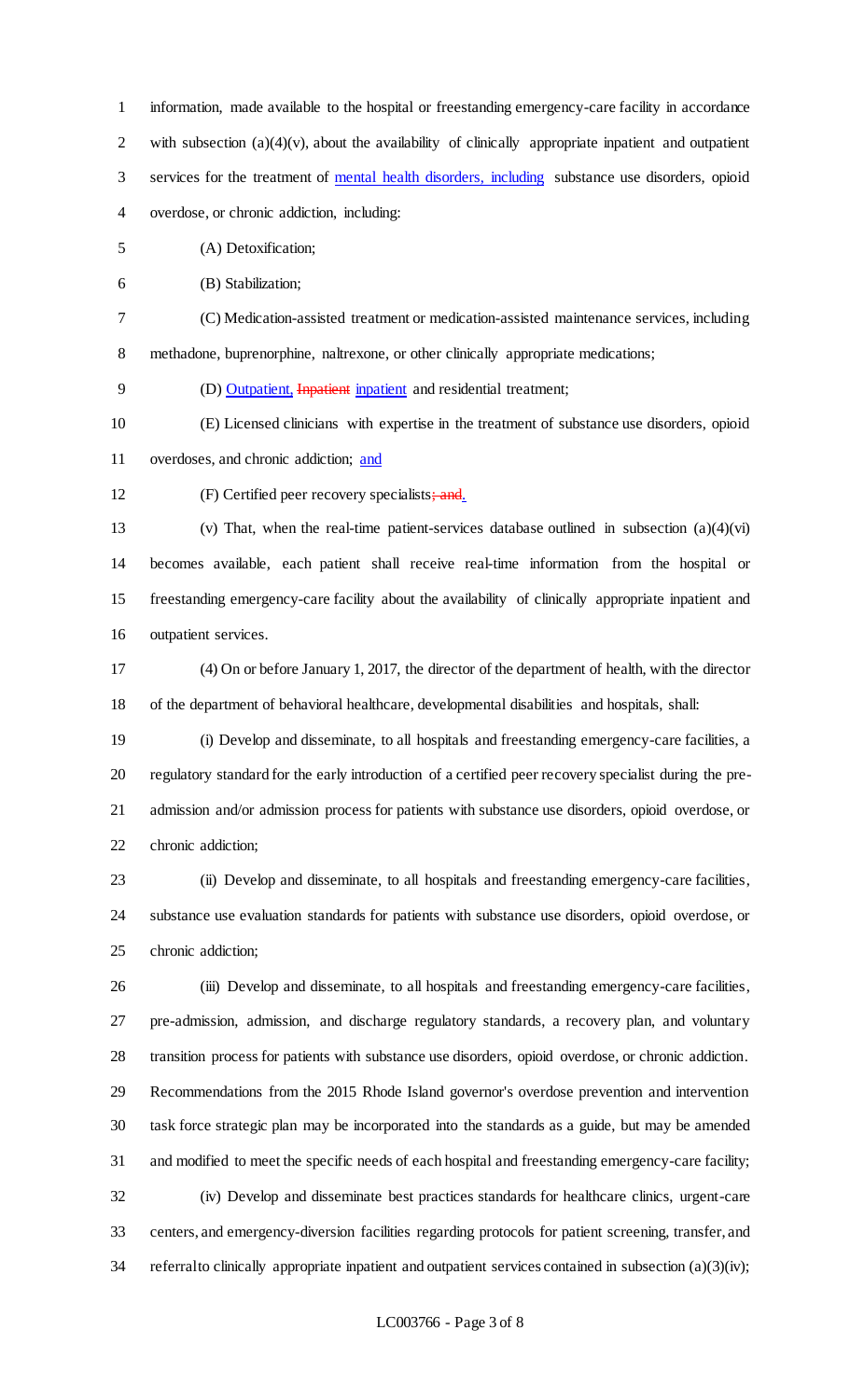information, made available to the hospital or freestanding emergency-care facility in accordance 2 with subsection  $(a)(4)(v)$ , about the availability of clinically appropriate inpatient and outpatient 3 services for the treatment of mental health disorders, including substance use disorders, opioid overdose, or chronic addiction, including:

(A) Detoxification;

(B) Stabilization;

 (C) Medication-assisted treatment or medication-assisted maintenance services, including methadone, buprenorphine, naltrexone, or other clinically appropriate medications;

(D) Outpatient, Inpatient inpatient and residential treatment;

(E) Licensed clinicians with expertise in the treatment of substance use disorders, opioid

overdoses, and chronic addiction; and

12 (F) Certified peer recovery specialists; and.

 (v) That, when the real-time patient-services database outlined in subsection (a)(4)(vi) becomes available, each patient shall receive real-time information from the hospital or freestanding emergency-care facility about the availability of clinically appropriate inpatient and outpatient services.

 (4) On or before January 1, 2017, the director of the department of health, with the director of the department of behavioral healthcare, developmental disabilities and hospitals, shall:

 (i) Develop and disseminate, to all hospitals and freestanding emergency-care facilities, a regulatory standard for the early introduction of a certified peer recovery specialist during the pre- admission and/or admission process for patients with substance use disorders, opioid overdose, or chronic addiction;

 (ii) Develop and disseminate, to all hospitals and freestanding emergency-care facilities, substance use evaluation standards for patients with substance use disorders, opioid overdose, or chronic addiction;

 (iii) Develop and disseminate, to all hospitals and freestanding emergency-care facilities, pre-admission, admission, and discharge regulatory standards, a recovery plan, and voluntary transition process for patients with substance use disorders, opioid overdose, or chronic addiction. Recommendations from the 2015 Rhode Island governor's overdose prevention and intervention task force strategic plan may be incorporated into the standards as a guide, but may be amended and modified to meet the specific needs of each hospital and freestanding emergency-care facility; (iv) Develop and disseminate best practices standards for healthcare clinics, urgent-care centers, and emergency-diversion facilities regarding protocols for patient screening, transfer, and 34 referral to clinically appropriate inpatient and outpatient services contained in subsection (a)(3)(iv);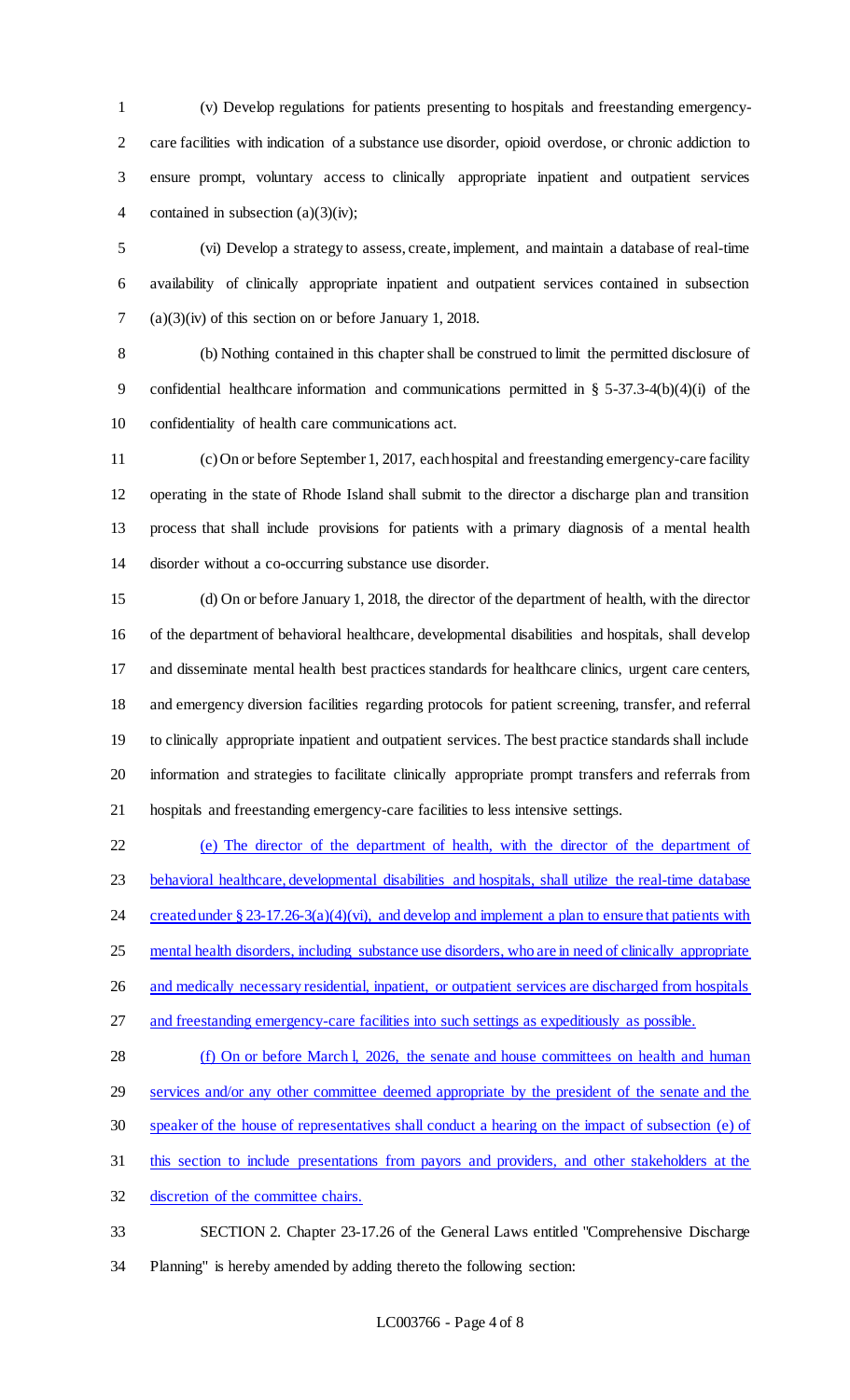(v) Develop regulations for patients presenting to hospitals and freestanding emergency- care facilities with indication of a substance use disorder, opioid overdose, or chronic addiction to ensure prompt, voluntary access to clinically appropriate inpatient and outpatient services 4 contained in subsection (a)(3)(iv);

 (vi) Develop a strategy to assess, create, implement, and maintain a database of real-time availability of clinically appropriate inpatient and outpatient services contained in subsection (a)(3)(iv) of this section on or before January 1, 2018.

 (b) Nothing contained in this chapter shall be construed to limit the permitted disclosure of confidential healthcare information and communications permitted in § 5-37.3-4(b)(4)(i) of the confidentiality of health care communications act.

 (c) On or before September 1, 2017, each hospital and freestanding emergency-care facility operating in the state of Rhode Island shall submit to the director a discharge plan and transition process that shall include provisions for patients with a primary diagnosis of a mental health disorder without a co-occurring substance use disorder.

 (d) On or before January 1, 2018, the director of the department of health, with the director of the department of behavioral healthcare, developmental disabilities and hospitals, shall develop and disseminate mental health best practices standards for healthcare clinics, urgent care centers, and emergency diversion facilities regarding protocols for patient screening, transfer, and referral to clinically appropriate inpatient and outpatient services. The best practice standards shall include information and strategies to facilitate clinically appropriate prompt transfers and referrals from hospitals and freestanding emergency-care facilities to less intensive settings.

 (e) The director of the department of health, with the director of the department of 23 behavioral healthcare, developmental disabilities and hospitals, shall utilize the real-time database 24 created under  $\S 23-17.26-3(a)(4)(vi)$ , and develop and implement a plan to ensure that patients with mental health disorders, including substance use disorders, who are in need of clinically appropriate 26 and medically necessary residential, inpatient, or outpatient services are discharged from hospitals and freestanding emergency-care facilities into such settings as expeditiously as possible. 28 (f) On or before March l, 2026, the senate and house committees on health and human

 services and/or any other committee deemed appropriate by the president of the senate and the speaker of the house of representatives shall conduct a hearing on the impact of subsection (e) of this section to include presentations from payors and providers, and other stakeholders at the discretion of the committee chairs.

 SECTION 2. Chapter 23-17.26 of the General Laws entitled "Comprehensive Discharge Planning" is hereby amended by adding thereto the following section: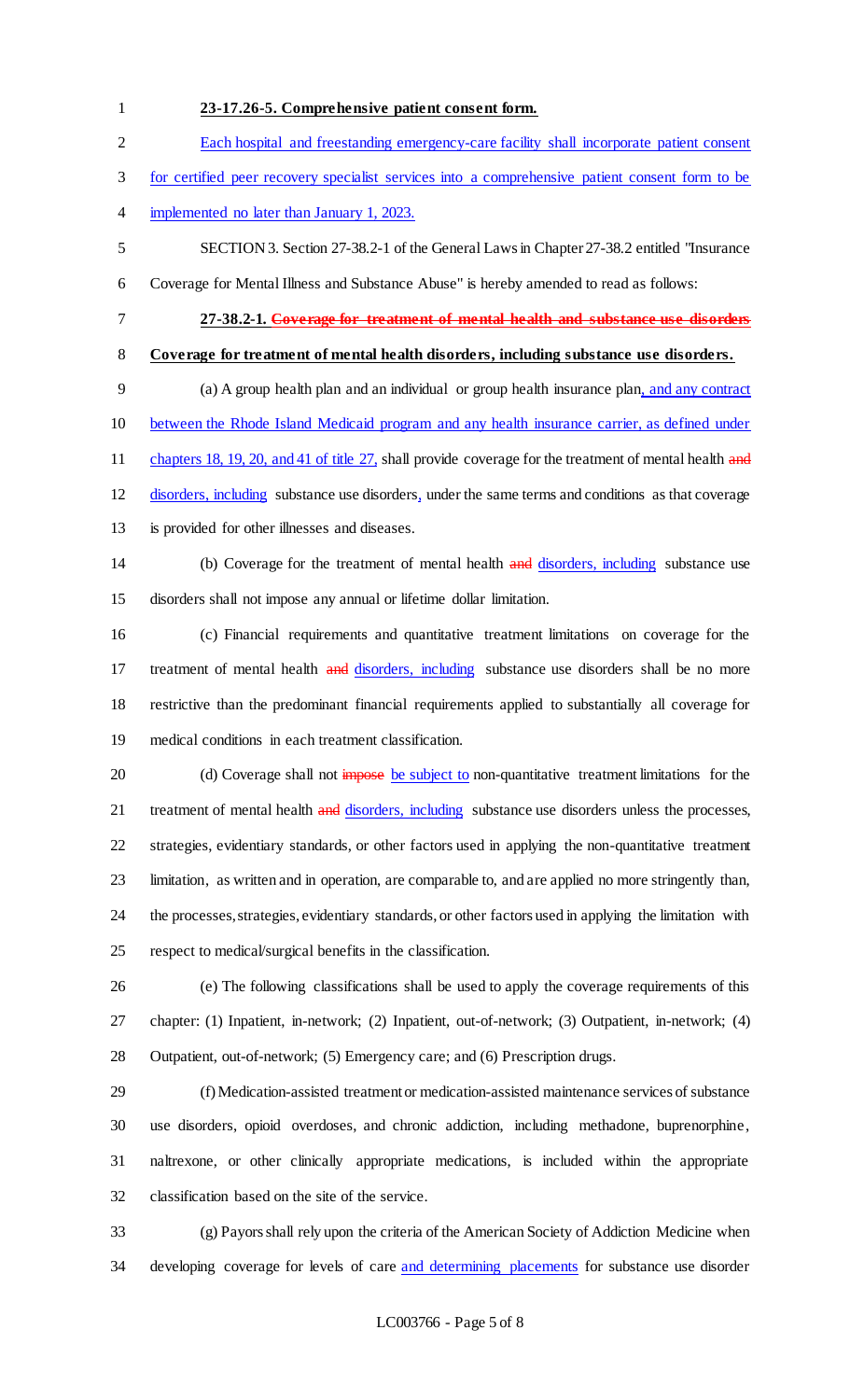## **23-17.26-5. Comprehensive patient consent form.**

# Each hospital and freestanding emergency-care facility shall incorporate patient consent

- for certified peer recovery specialist services into a comprehensive patient consent form to be
- implemented no later than January 1, 2023.
- SECTION 3. Section 27-38.2-1 of the General Laws in Chapter 27-38.2 entitled "Insurance
- Coverage for Mental Illness and Substance Abuse" is hereby amended to read as follows:
- 
- 

# **27-38.2-1. Coverage for treatment of mental health and substance use disorders**

## **Coverage for treatment of mental health disorders, including substance use disorders.**

 (a) A group health plan and an individual or group health insurance plan, and any contract between the Rhode Island Medicaid program and any health insurance carrier, as defined under 11 chapters 18, 19, 20, and 41 of title 27, shall provide coverage for the treatment of mental health and disorders, including substance use disorders, under the same terms and conditions as that coverage

- is provided for other illnesses and diseases.
- 14 (b) Coverage for the treatment of mental health and disorders, including substance use disorders shall not impose any annual or lifetime dollar limitation.

 (c) Financial requirements and quantitative treatment limitations on coverage for the 17 treatment of mental health and disorders, including substance use disorders shall be no more restrictive than the predominant financial requirements applied to substantially all coverage for medical conditions in each treatment classification.

- 20 (d) Coverage shall not impose be subject to non-quantitative treatment limitations for the 21 treatment of mental health and disorders, including substance use disorders unless the processes, strategies, evidentiary standards, or other factors used in applying the non-quantitative treatment limitation, as written and in operation, are comparable to, and are applied no more stringently than, the processes, strategies, evidentiary standards, or other factors used in applying the limitation with respect to medical/surgical benefits in the classification.
- (e) The following classifications shall be used to apply the coverage requirements of this chapter: (1) Inpatient, in-network; (2) Inpatient, out-of-network; (3) Outpatient, in-network; (4) Outpatient, out-of-network; (5) Emergency care; and (6) Prescription drugs.
- (f) Medication-assisted treatment or medication-assisted maintenance services of substance use disorders, opioid overdoses, and chronic addiction, including methadone, buprenorphine, naltrexone, or other clinically appropriate medications, is included within the appropriate classification based on the site of the service.

 (g) Payors shall rely upon the criteria of the American Society of Addiction Medicine when 34 developing coverage for levels of care and determining placements for substance use disorder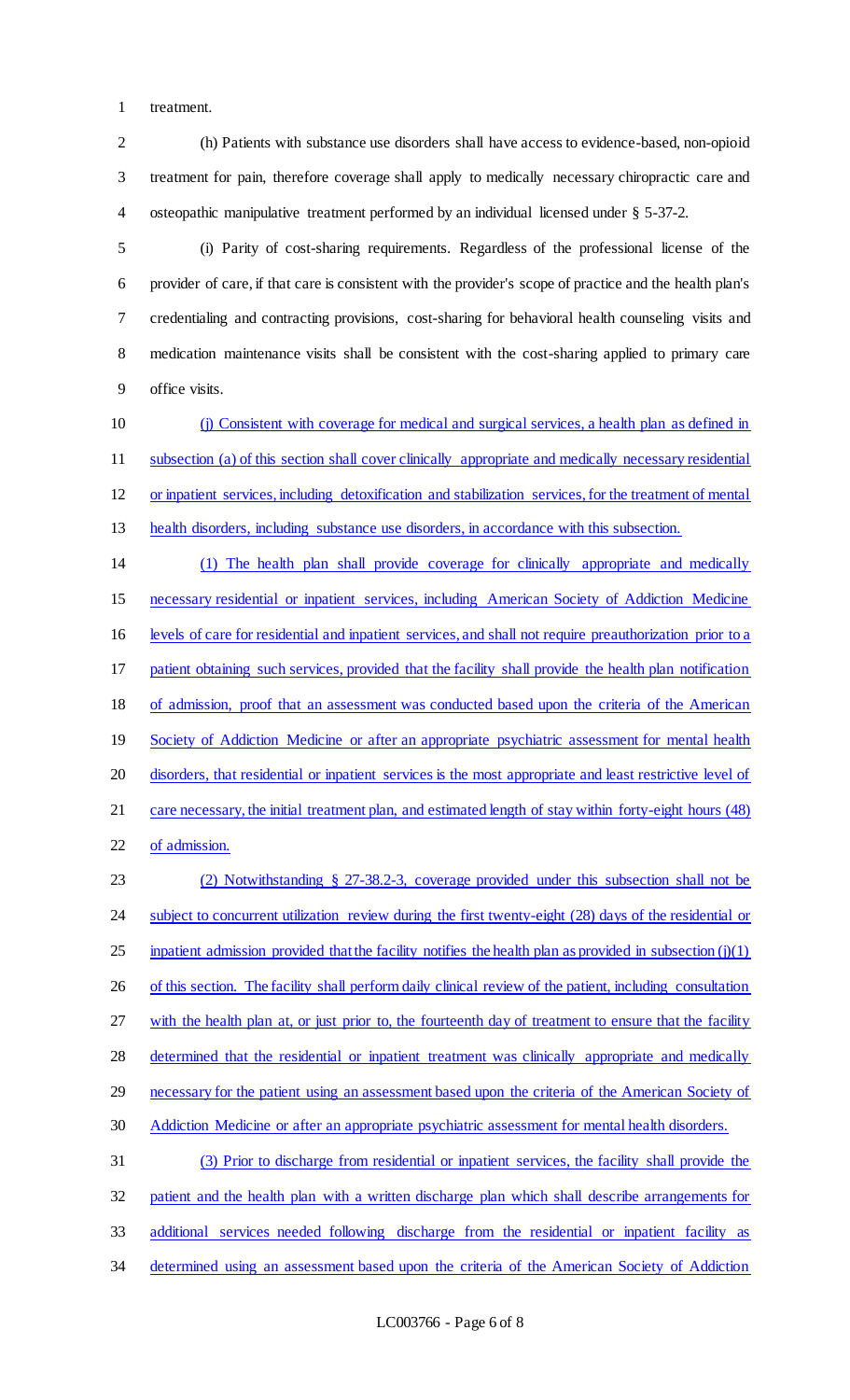treatment.

 (h) Patients with substance use disorders shall have access to evidence-based, non-opioid treatment for pain, therefore coverage shall apply to medically necessary chiropractic care and osteopathic manipulative treatment performed by an individual licensed under § 5-37-2.

 (i) Parity of cost-sharing requirements. Regardless of the professional license of the provider of care, if that care is consistent with the provider's scope of practice and the health plan's credentialing and contracting provisions, cost-sharing for behavioral health counseling visits and medication maintenance visits shall be consistent with the cost-sharing applied to primary care office visits.

 (j) Consistent with coverage for medical and surgical services, a health plan as defined in subsection (a) of this section shall cover clinically appropriate and medically necessary residential or inpatient services, including detoxification and stabilization services, for the treatment of mental health disorders, including substance use disorders, in accordance with this subsection.

 (1) The health plan shall provide coverage for clinically appropriate and medically necessary residential or inpatient services, including American Society of Addiction Medicine levels of care for residential and inpatient services, and shall not require preauthorization prior to a 17 patient obtaining such services, provided that the facility shall provide the health plan notification of admission, proof that an assessment was conducted based upon the criteria of the American 19 Society of Addiction Medicine or after an appropriate psychiatric assessment for mental health 20 disorders, that residential or inpatient services is the most appropriate and least restrictive level of 21 care necessary, the initial treatment plan, and estimated length of stay within forty-eight hours (48) of admission. (2) Notwithstanding § 27-38.2-3, coverage provided under this subsection shall not be

24 subject to concurrent utilization review during the first twenty-eight (28) days of the residential or 25 inpatient admission provided that the facility notifies the health plan as provided in subsection  $(j)(1)$ 26 of this section. The facility shall perform daily clinical review of the patient, including consultation 27 with the health plan at, or just prior to, the fourteenth day of treatment to ensure that the facility 28 determined that the residential or inpatient treatment was clinically appropriate and medically 29 necessary for the patient using an assessment based upon the criteria of the American Society of Addiction Medicine or after an appropriate psychiatric assessment for mental health disorders. (3) Prior to discharge from residential or inpatient services, the facility shall provide the patient and the health plan with a written discharge plan which shall describe arrangements for additional services needed following discharge from the residential or inpatient facility as

34 determined using an assessment based upon the criteria of the American Society of Addiction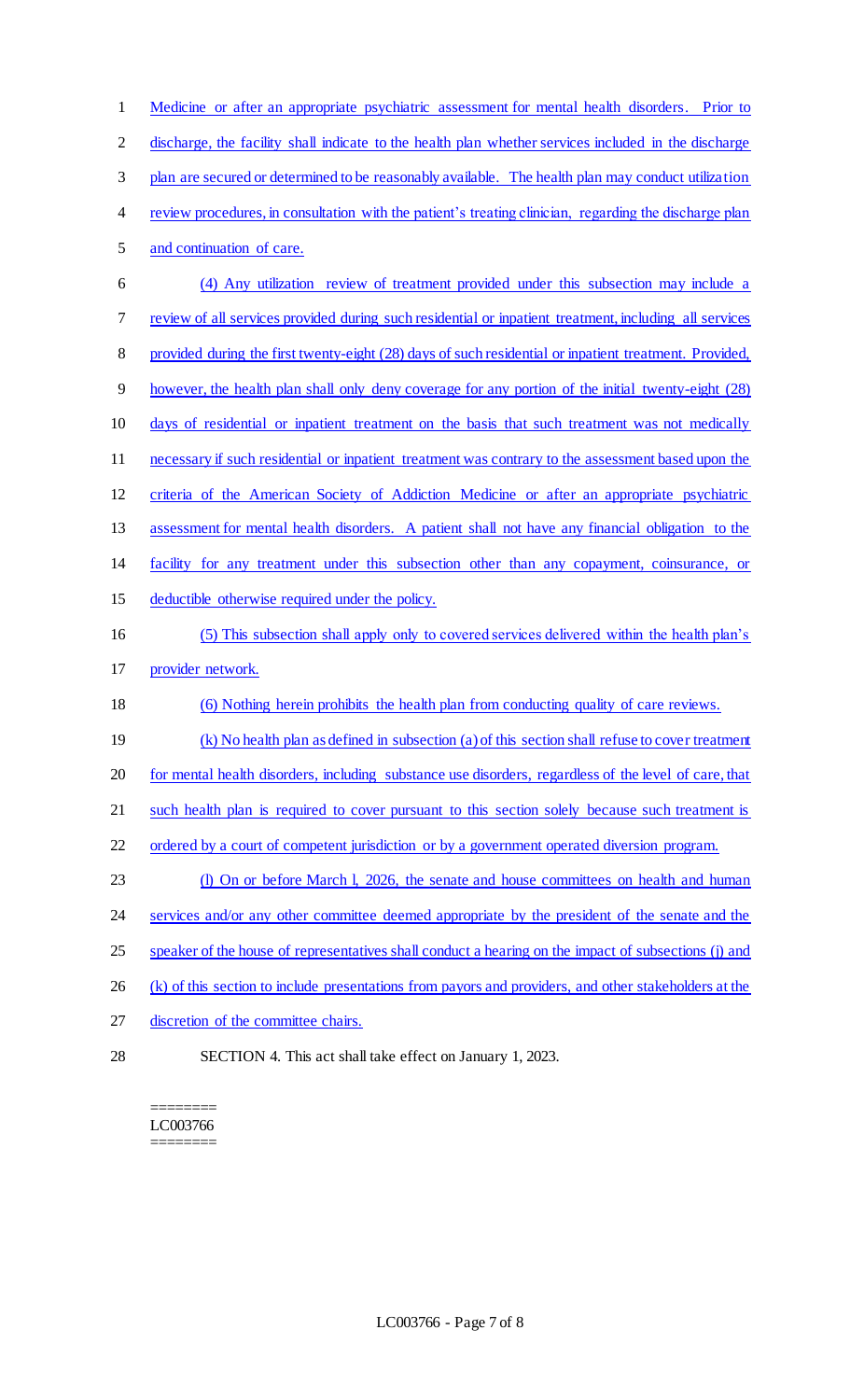Medicine or after an appropriate psychiatric assessment for mental health disorders. Prior to discharge, the facility shall indicate to the health plan whether services included in the discharge plan are secured or determined to be reasonably available. The health plan may conduct utilization review procedures, in consultation with the patient's treating clinician, regarding the discharge plan and continuation of care. (4) Any utilization review of treatment provided under this subsection may include a review of all services provided during such residential or inpatient treatment, including all services provided during the first twenty-eight (28) days of such residential or inpatient treatment. Provided, however, the health plan shall only deny coverage for any portion of the initial twenty-eight (28) days of residential or inpatient treatment on the basis that such treatment was not medically necessary if such residential or inpatient treatment was contrary to the assessment based upon the criteria of the American Society of Addiction Medicine or after an appropriate psychiatric assessment for mental health disorders. A patient shall not have any financial obligation to the facility for any treatment under this subsection other than any copayment, coinsurance, or deductible otherwise required under the policy. (5) This subsection shall apply only to covered services delivered within the health plan's provider network. (6) Nothing herein prohibits the health plan from conducting quality of care reviews. (k) No health plan as defined in subsection (a) of this section shall refuse to cover treatment for mental health disorders, including substance use disorders, regardless of the level of care, that 21 such health plan is required to cover pursuant to this section solely because such treatment is 22 ordered by a court of competent jurisdiction or by a government operated diversion program. 23 (l) On or before March l, 2026, the senate and house committees on health and human 24 services and/or any other committee deemed appropriate by the president of the senate and the speaker of the house of representatives shall conduct a hearing on the impact of subsections (j) and 26 (k) of this section to include presentations from payors and providers, and other stakeholders at the discretion of the committee chairs. SECTION 4. This act shall take effect on January 1, 2023.

======== LC003766 ========